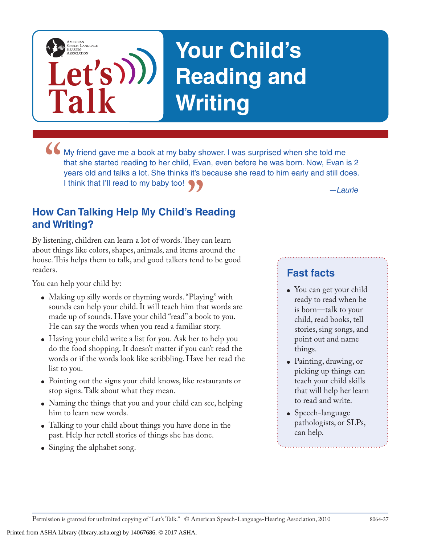# **Your Child's Reading and Writing**

**I** My friend gave me a book at my baby shower. I was surprised when she told me that she started reading to her child, Evan, even before he was born. Now, Evan i years old and talks a lot. She thinks it's because she read that she started reading to her child, Evan, even before he was born. Now, Evan is 2 years old and talks a lot. She thinks it's because she read to him early and still does. I think that I'll read to my baby too!

### **"** *—Laurie* **How Can Talking Help My Child's Reading and Writing?**

**Let's**

**Talk**

AMERICAN<br>SPEECH-LANGUAGE-<br>HEARING<br>ASSOCIATION

By listening, children can learn a lot of words. They can learn about things like colors, shapes, animals, and items around the house. This helps them to talk, and good talkers tend to be good readers.

You can help your child by:

- Making up silly words or rhyming words. "Playing" with sounds can help your child. It will teach him that words are made up of sounds. Have your child "read" a book to you. He can say the words when you read a familiar story.
- Having your child write a list for you. Ask her to help you do the food shopping. It doesn't matter if you can't read the words or if the words look like scribbling. Have her read the list to you.
- Pointing out the signs your child knows, like restaurants or stop signs. Talk about what they mean.
- Naming the things that you and your child can see, helping him to learn new words.
- Talking to your child about things you have done in the past. Help her retell stories of things she has done.
- Singing the alphabet song.

#### **Fast facts**

- You can get your child ready to read when he is born—talk to your child, read books, tell stories, sing songs, and point out and name things.
- Painting, drawing, or picking up things can teach your child skills that will help her learn to read and write.
- Speech-language pathologists, or SLPs, can help.

Permission is granted for unlimited copying of "Let's Talk." © American Speech-Language-Hearing Association, 2010 8064-37

Printed from ASHA Library (library.asha.org) by 14067686. © 2017 ASHA.